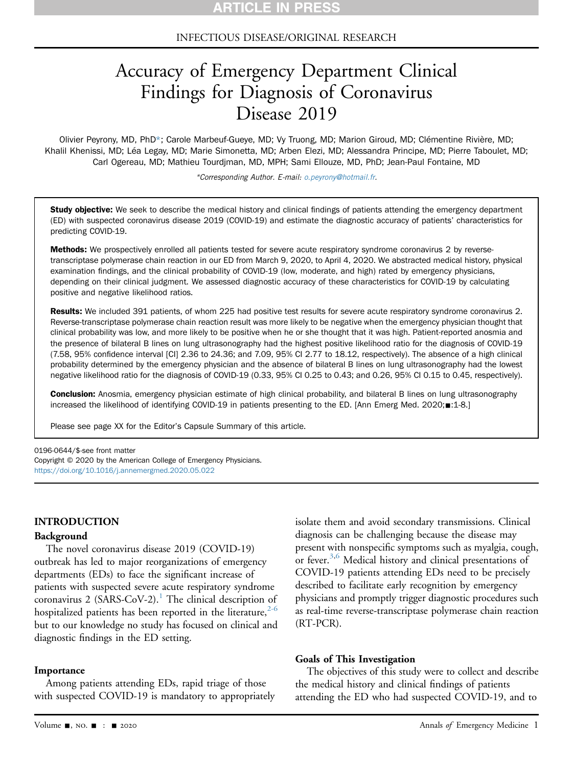# INFECTIOUS DISEASE/ORIGINAL RESEARCH

# Accuracy of Emergency Department Clinical Findings for Diagnosis of Coronavirus Disease 2019

Olivier Peyrony, MD, PhD\*; Carole Marbeuf-Gueye, MD; Vy Truong, MD; Marion Giroud, MD; Clémentine Rivière, MD; Khalil Khenissi, MD; Léa Legay, MD; Marie Simonetta, MD; Arben Elezi, MD; Alessandra Principe, MD; Pierre Taboulet, MD; Carl Ogereau, MD; Mathieu Tourdjman, MD, MPH; Sami Ellouze, MD, PhD; Jean-Paul Fontaine, MD

\*Corresponding Author. E-mail: [o.peyrony@hotmail.fr.](mailto:o.peyrony@hotmail.fr)

Study objective: We seek to describe the medical history and clinical findings of patients attending the emergency department (ED) with suspected coronavirus disease 2019 (COVID-19) and estimate the diagnostic accuracy of patients' characteristics for predicting COVID-19.

Methods: We prospectively enrolled all patients tested for severe acute respiratory syndrome coronavirus 2 by reversetranscriptase polymerase chain reaction in our ED from March 9, 2020, to April 4, 2020. We abstracted medical history, physical examination findings, and the clinical probability of COVID-19 (low, moderate, and high) rated by emergency physicians, depending on their clinical judgment. We assessed diagnostic accuracy of these characteristics for COVID-19 by calculating positive and negative likelihood ratios.

Results: We included 391 patients, of whom 225 had positive test results for severe acute respiratory syndrome coronavirus 2. Reverse-transcriptase polymerase chain reaction result was more likely to be negative when the emergency physician thought that clinical probability was low, and more likely to be positive when he or she thought that it was high. Patient-reported anosmia and the presence of bilateral B lines on lung ultrasonography had the highest positive likelihood ratio for the diagnosis of COVID-19 (7.58, 95% confidence interval [CI] 2.36 to 24.36; and 7.09, 95% CI 2.77 to 18.12, respectively). The absence of a high clinical probability determined by the emergency physician and the absence of bilateral B lines on lung ultrasonography had the lowest negative likelihood ratio for the diagnosis of COVID-19 (0.33, 95% CI 0.25 to 0.43; and 0.26, 95% CI 0.15 to 0.45, respectively).

Conclusion: Anosmia, emergency physician estimate of high clinical probability, and bilateral B lines on lung ultrasonography increased the likelihood of identifying COVID-19 in patients presenting to the ED. [Ann Emerg Med. 2020; 1:1-8.]

Please see page XX for the Editor's Capsule Summary of this article.

0196-0644/\$-see front matter

Copyright © 2020 by the American College of Emergency Physicians. <https://doi.org/10.1016/j.annemergmed.2020.05.022>

#### INTRODUCTION

#### Background

The novel coronavirus disease 2019 (COVID-19) outbreak has led to major reorganizations of emergency departments (EDs) to face the significant increase of patients with suspected severe acute respiratory syndrome coronavirus 2 (SARS-CoV-2).<sup>[1](#page-6-0)</sup> The clinical description of hospitalized patients has been reported in the literature,  $2-6$ but to our knowledge no study has focused on clinical and diagnostic findings in the ED setting.

#### Importance

Among patients attending EDs, rapid triage of those with suspected COVID-19 is mandatory to appropriately isolate them and avoid secondary transmissions. Clinical diagnosis can be challenging because the disease may present with nonspecific symptoms such as myalgia, cough, or fever.<sup>[3,](#page-6-2)[6](#page-6-3)</sup> Medical history and clinical presentations of COVID-19 patients attending EDs need to be precisely described to facilitate early recognition by emergency physicians and promptly trigger diagnostic procedures such as real-time reverse-transcriptase polymerase chain reaction (RT-PCR).

#### Goals of This Investigation

The objectives of this study were to collect and describe the medical history and clinical findings of patients attending the ED who had suspected COVID-19, and to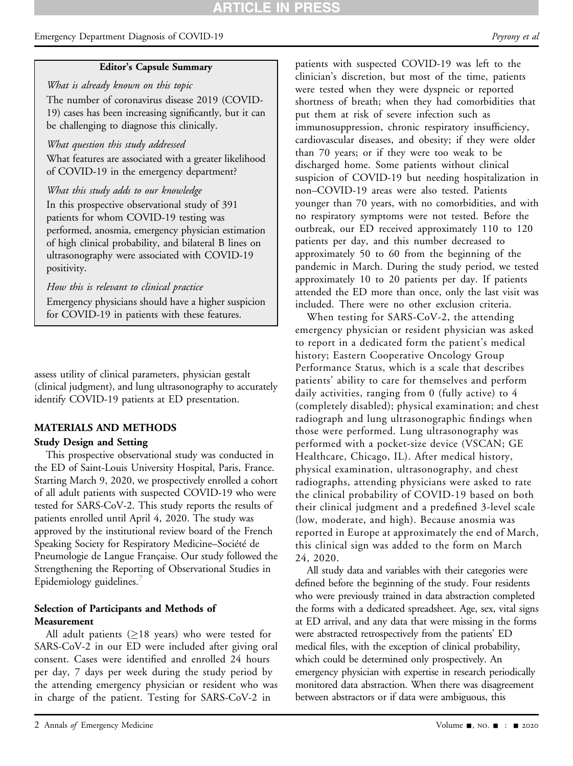# **ARTICLE IN PRES**

# Emergency Department Diagnosis of COVID-19 Peyrony et al. Peyrony et al.

### Editor's Capsule Summary

What is already known on this topic The number of coronavirus disease 2019 (COVID-19) cases has been increasing significantly, but it can be challenging to diagnose this clinically.

# What question this study addressed

What features are associated with a greater likelihood of COVID-19 in the emergency department?

# What this study adds to our knowledge

In this prospective observational study of 391 patients for whom COVID-19 testing was performed, anosmia, emergency physician estimation of high clinical probability, and bilateral B lines on ultrasonography were associated with COVID-19 positivity.

# How this is relevant to clinical practice

Emergency physicians should have a higher suspicion for COVID-19 in patients with these features.

assess utility of clinical parameters, physician gestalt (clinical judgment), and lung ultrasonography to accurately identify COVID-19 patients at ED presentation.

# MATERIALS AND METHODS

# Study Design and Setting

This prospective observational study was conducted in the ED of Saint-Louis University Hospital, Paris, France. Starting March 9, 2020, we prospectively enrolled a cohort of all adult patients with suspected COVID-19 who were tested for SARS-CoV-2. This study reports the results of patients enrolled until April 4, 2020. The study was approved by the institutional review board of the French Speaking Society for Respiratory Medicine–Société de Pneumologie de Langue Française. Our study followed the Strengthening the Reporting of Observational Studies in Epidemiology guidelines.

# Selection of Participants and Methods of Measurement

All adult patients ( $\geq$ 18 years) who were tested for SARS-CoV-2 in our ED were included after giving oral consent. Cases were identified and enrolled 24 hours per day, 7 days per week during the study period by the attending emergency physician or resident who was in charge of the patient. Testing for SARS-CoV-2 in

patients with suspected COVID-19 was left to the clinician's discretion, but most of the time, patients were tested when they were dyspneic or reported shortness of breath; when they had comorbidities that put them at risk of severe infection such as immunosuppression, chronic respiratory insufficiency, cardiovascular diseases, and obesity; if they were older than 70 years; or if they were too weak to be discharged home. Some patients without clinical suspicion of COVID-19 but needing hospitalization in non–COVID-19 areas were also tested. Patients younger than 70 years, with no comorbidities, and with no respiratory symptoms were not tested. Before the outbreak, our ED received approximately 110 to 120 patients per day, and this number decreased to approximately 50 to 60 from the beginning of the pandemic in March. During the study period, we tested approximately 10 to 20 patients per day. If patients attended the ED more than once, only the last visit was included. There were no other exclusion criteria.

When testing for SARS-CoV-2, the attending emergency physician or resident physician was asked to report in a dedicated form the patient's medical history; Eastern Cooperative Oncology Group Performance Status, which is a scale that describes patients' ability to care for themselves and perform daily activities, ranging from 0 (fully active) to 4 (completely disabled); physical examination; and chest radiograph and lung ultrasonographic findings when those were performed. Lung ultrasonography was performed with a pocket-size device (VSCAN; GE Healthcare, Chicago, IL). After medical history, physical examination, ultrasonography, and chest radiographs, attending physicians were asked to rate the clinical probability of COVID-19 based on both their clinical judgment and a predefined 3-level scale (low, moderate, and high). Because anosmia was reported in Europe at approximately the end of March, this clinical sign was added to the form on March 24, 2020.

All study data and variables with their categories were defined before the beginning of the study. Four residents who were previously trained in data abstraction completed the forms with a dedicated spreadsheet. Age, sex, vital signs at ED arrival, and any data that were missing in the forms were abstracted retrospectively from the patients' ED medical files, with the exception of clinical probability, which could be determined only prospectively. An emergency physician with expertise in research periodically monitored data abstraction. When there was disagreement between abstractors or if data were ambiguous, this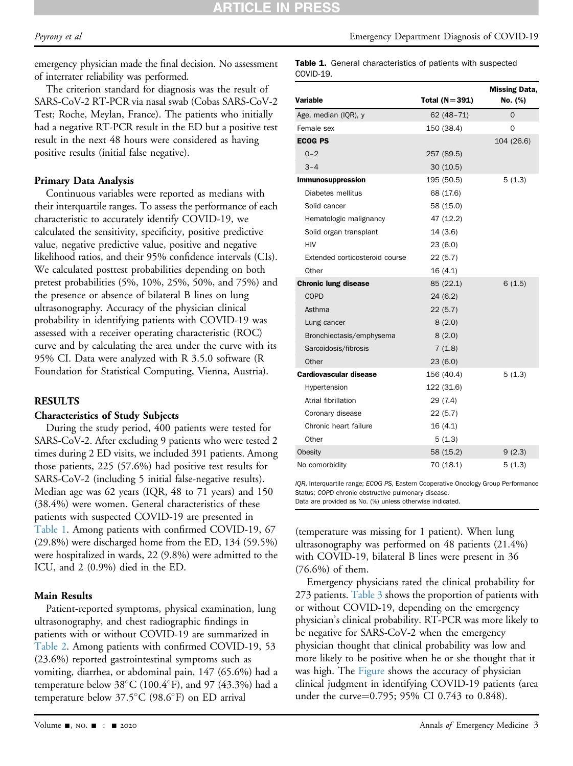emergency physician made the final decision. No assessment of interrater reliability was performed.

The criterion standard for diagnosis was the result of SARS-CoV-2 RT-PCR via nasal swab (Cobas SARS-CoV-2 Test; Roche, Meylan, France). The patients who initially had a negative RT-PCR result in the ED but a positive test result in the next 48 hours were considered as having positive results (initial false negative).

# Primary Data Analysis

Continuous variables were reported as medians with their interquartile ranges. To assess the performance of each characteristic to accurately identify COVID-19, we calculated the sensitivity, specificity, positive predictive value, negative predictive value, positive and negative likelihood ratios, and their 95% confidence intervals (CIs). We calculated posttest probabilities depending on both pretest probabilities (5%, 10%, 25%, 50%, and 75%) and the presence or absence of bilateral B lines on lung ultrasonography. Accuracy of the physician clinical probability in identifying patients with COVID-19 was assessed with a receiver operating characteristic (ROC) curve and by calculating the area under the curve with its 95% CI. Data were analyzed with R 3.5.0 software (R Foundation for Statistical Computing, Vienna, Austria).

# RESULTS

#### Characteristics of Study Subjects

During the study period, 400 patients were tested for SARS-CoV-2. After excluding 9 patients who were tested 2 times during 2 ED visits, we included 391 patients. Among those patients, 225 (57.6%) had positive test results for SARS-CoV-2 (including 5 initial false-negative results). Median age was 62 years (IQR, 48 to 71 years) and 150 (38.4%) were women. General characteristics of these patients with suspected COVID-19 are presented in [Table 1.](#page-2-0) Among patients with confirmed COVID-19, 67 (29.8%) were discharged home from the ED, 134 (59.5%) were hospitalized in wards, 22 (9.8%) were admitted to the ICU, and 2 (0.9%) died in the ED.

# Main Results

Patient-reported symptoms, physical examination, lung ultrasonography, and chest radiographic findings in patients with or without COVID-19 are summarized in [Table 2.](#page-3-0) Among patients with confirmed COVID-19, 53 (23.6%) reported gastrointestinal symptoms such as vomiting, diarrhea, or abdominal pain, 147 (65.6%) had a temperature below  $38^{\circ}$ C (100.4 $^{\circ}$ F), and 97 (43.3%) had a temperature below  $37.5^{\circ}$ C (98.6 $^{\circ}$ F) on ED arrival

| Variable                       | Total $(N=391)$ | <b>Missing Data,</b><br>No. (%) |
|--------------------------------|-----------------|---------------------------------|
| Age, median (IQR), y           | $62(48-71)$     | $\Omega$                        |
| Female sex                     | 150 (38.4)      | O                               |
| <b>ECOG PS</b>                 |                 | 104 (26.6)                      |
| $0 - 2$                        | 257 (89.5)      |                                 |
| $3 - 4$                        | 30(10.5)        |                                 |
| <b>Immunosuppression</b>       | 195 (50.5)      | 5(1.3)                          |
| Diabetes mellitus              | 68 (17.6)       |                                 |
| Solid cancer                   | 58 (15.0)       |                                 |
| Hematologic malignancy         | 47 (12.2)       |                                 |
| Solid organ transplant         | 14(3.6)         |                                 |
| <b>HIV</b>                     | 23(6.0)         |                                 |
| Extended corticosteroid course | 22(5.7)         |                                 |
| Other                          | 16(4.1)         |                                 |
| <b>Chronic lung disease</b>    | 85 (22.1)       | 6(1.5)                          |
| <b>COPD</b>                    | 24(6.2)         |                                 |
| Asthma                         | 22(5.7)         |                                 |
| Lung cancer                    | 8(2.0)          |                                 |
| Bronchiectasis/emphysema       | 8(2.0)          |                                 |
| Sarcoidosis/fibrosis           | 7(1.8)          |                                 |
| Other                          | 23(6.0)         |                                 |
| <b>Cardiovascular disease</b>  | 156 (40.4)      | 5(1.3)                          |
| Hypertension                   | 122 (31.6)      |                                 |
| Atrial fibrillation            | 29 (7.4)        |                                 |
| Coronary disease               | 22(5.7)         |                                 |
| Chronic heart failure          | 16(4.1)         |                                 |
| Other                          | 5(1.3)          |                                 |
| Obesity                        | 58 (15.2)       | 9(2.3)                          |
| No comorbidity                 | 70 (18.1)       | 5(1.3)                          |

<span id="page-2-0"></span>IQR, Interquartile range; ECOG PS, Eastern Cooperative Oncology Group Performance Status; COPD chronic obstructive pulmonary disease. Data are provided as No. (%) unless otherwise indicated.

(temperature was missing for 1 patient). When lung ultrasonography was performed on 48 patients (21.4%) with COVID-19, bilateral B lines were present in 36 (76.6%) of them.

Emergency physicians rated the clinical probability for 273 patients. [Table 3](#page-4-0) shows the proportion of patients with or without COVID-19, depending on the emergency physician's clinical probability. RT-PCR was more likely to be negative for SARS-CoV-2 when the emergency physician thought that clinical probability was low and more likely to be positive when he or she thought that it was high. The [Figure](#page-4-1) shows the accuracy of physician clinical judgment in identifying COVID-19 patients (area under the curve=0.795; 95% CI 0.743 to 0.848).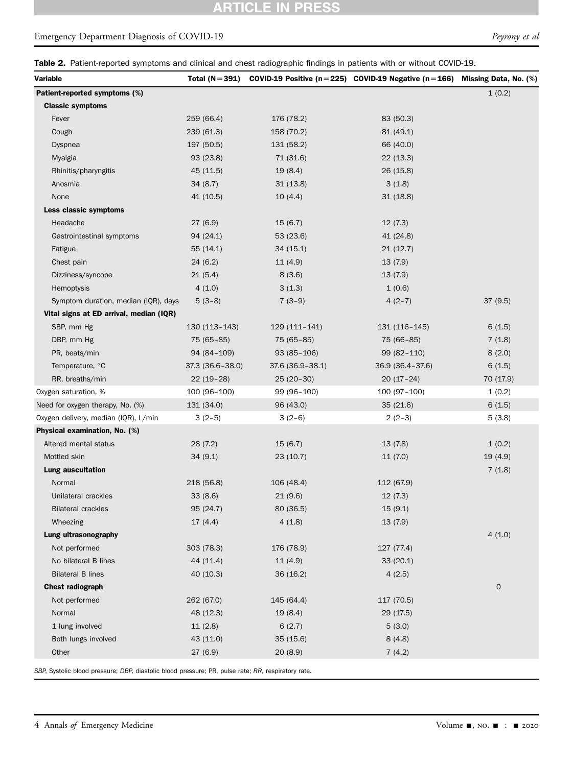# **ARTICLE IN PRESS**

# Emergency Department Diagnosis of COVID-19 Peyrony et al.

Table 2. Patient-reported symptoms and clinical and chest radiographic findings in patients with or without COVID-19.

| Variable                                | Total $(N=391)$  |                  | COVID-19 Positive ( $n=225$ ) COVID-19 Negative ( $n=166$ ) Missing Data, No. (%) |                     |
|-----------------------------------------|------------------|------------------|-----------------------------------------------------------------------------------|---------------------|
| Patient-reported symptoms (%)           |                  |                  |                                                                                   | 1(0.2)              |
| <b>Classic symptoms</b>                 |                  |                  |                                                                                   |                     |
| Fever                                   | 259 (66.4)       | 176 (78.2)       | 83 (50.3)                                                                         |                     |
| Cough                                   | 239 (61.3)       | 158 (70.2)       | 81 (49.1)                                                                         |                     |
| Dyspnea                                 | 197 (50.5)       | 131 (58.2)       | 66 (40.0)                                                                         |                     |
| Myalgia                                 | 93 (23.8)        | 71 (31.6)        | 22(13.3)                                                                          |                     |
| Rhinitis/pharyngitis                    | 45 (11.5)        | 19(8.4)          | 26(15.8)                                                                          |                     |
| Anosmia                                 | 34(8.7)          | 31(13.8)         | 3(1.8)                                                                            |                     |
| None                                    | 41 (10.5)        | 10(4.4)          | 31(18.8)                                                                          |                     |
| Less classic symptoms                   |                  |                  |                                                                                   |                     |
| Headache                                | 27(6.9)          | 15(6.7)          | 12(7.3)                                                                           |                     |
| Gastrointestinal symptoms               | 94 (24.1)        | 53 (23.6)        | 41 (24.8)                                                                         |                     |
| Fatigue                                 | 55(14.1)         | 34(15.1)         | 21(12.7)                                                                          |                     |
| Chest pain                              | 24(6.2)          | 11(4.9)          | 13(7.9)                                                                           |                     |
| Dizziness/syncope                       | 21(5.4)          | 8(3.6)           | 13(7.9)                                                                           |                     |
| Hemoptysis                              | 4(1.0)           | 3(1.3)           | 1(0.6)                                                                            |                     |
| Symptom duration, median (IQR), days    | $5(3-8)$         | $7(3-9)$         | $4(2-7)$                                                                          | 37(9.5)             |
| Vital signs at ED arrival, median (IQR) |                  |                  |                                                                                   |                     |
| SBP, mm Hg                              | $130(113-143)$   | 129 (111-141)    | 131 (116-145)                                                                     | 6(1.5)              |
| DBP, mm Hg                              | 75 (65-85)       | 75 (65-85)       | 75 (66-85)                                                                        | 7(1.8)              |
| PR, beats/min                           | 94 (84-109)      | $93(85-106)$     | 99 (82-110)                                                                       | 8(2.0)              |
| Temperature, °C                         | 37.3 (36.6-38.0) | 37.6 (36.9-38.1) | 36.9 (36.4-37.6)                                                                  | 6(1.5)              |
| RR, breaths/min                         | $22(19-28)$      | $25(20-30)$      | $20(17-24)$                                                                       | 70 (17.9)           |
| Oxygen saturation, %                    | 100 (96-100)     | 99 (96-100)      | 100 (97-100)                                                                      | 1(0.2)              |
| Need for oxygen therapy, No. (%)        | 131 (34.0)       | 96 (43.0)        | 35(21.6)                                                                          | 6(1.5)              |
| Oxygen delivery, median (IQR), L/min    | $3(2-5)$         | $3(2-6)$         | $2(2-3)$                                                                          | 5(3.8)              |
| Physical examination, No. (%)           |                  |                  |                                                                                   |                     |
| Altered mental status                   | 28(7.2)          | 15(6.7)          | 13(7.8)                                                                           | 1(0.2)              |
| Mottled skin                            | 34(9.1)          | 23 (10.7)        | 11(7.0)                                                                           | 19(4.9)             |
| <b>Lung auscultation</b>                |                  |                  |                                                                                   | 7(1.8)              |
| Normal                                  | 218 (56.8)       | 106 (48.4)       | 112 (67.9)                                                                        |                     |
| Unilateral crackles                     | 33(8.6)          | 21(9.6)          | 12(7.3)                                                                           |                     |
| <b>Bilateral crackles</b>               | 95 (24.7)        | 80 (36.5)        | 15(9.1)                                                                           |                     |
| Wheezing                                | 17(4.4)          | 4(1.8)           | 13(7.9)                                                                           |                     |
| Lung ultrasonography                    |                  |                  |                                                                                   | 4(1.0)              |
| Not performed                           | 303 (78.3)       | 176 (78.9)       | 127 (77.4)                                                                        |                     |
| No bilateral B lines                    | 44 (11.4)        | 11(4.9)          | 33(20.1)                                                                          |                     |
| <b>Bilateral B lines</b>                | 40 (10.3)        | 36(16.2)         | 4(2.5)                                                                            |                     |
| <b>Chest radiograph</b>                 |                  |                  |                                                                                   | $\mathsf{O}\xspace$ |
| Not performed                           | 262 (67.0)       | 145 (64.4)       | 117 (70.5)                                                                        |                     |
| Normal                                  | 48 (12.3)        | 19(8.4)          | 29 (17.5)                                                                         |                     |
| 1 lung involved                         | 11(2.8)          | 6(2.7)           | 5(3.0)                                                                            |                     |
| Both lungs involved                     | 43 (11.0)        | 35 (15.6)        | 8(4.8)                                                                            |                     |
| Other                                   | 27 (6.9)         | 20 (8.9)         | 7(4.2)                                                                            |                     |
|                                         |                  |                  |                                                                                   |                     |

<span id="page-3-0"></span>SBP, Systolic blood pressure; DBP, diastolic blood pressure; PR, pulse rate; RR, respiratory rate.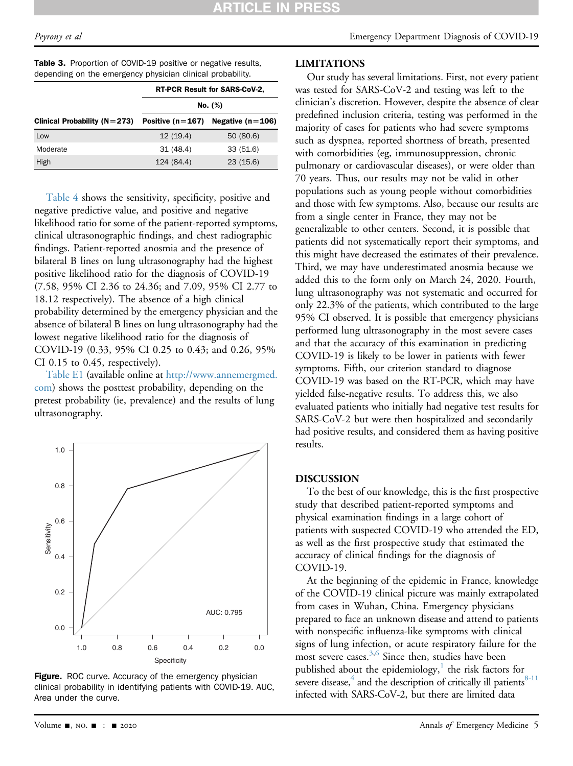<span id="page-4-0"></span>

| <b>Table 3.</b> Proportion of COVID-19 positive or negative results, |  |  |  |
|----------------------------------------------------------------------|--|--|--|
| depending on the emergency physician clinical probability.           |  |  |  |

|                                    | RT-PCR Result for SARS-CoV-2, |                    |  |  |
|------------------------------------|-------------------------------|--------------------|--|--|
|                                    | No. (%)                       |                    |  |  |
| Clinical Probability ( $N = 273$ ) | Positive $(n=167)$            | Negative $(n=106)$ |  |  |
| Low                                | 12(19.4)                      | 50 (80.6)          |  |  |
| Moderate                           | 31 (48.4)                     | 33 (51.6)          |  |  |
| High                               | 124 (84.4)                    | 23(15.6)           |  |  |

[Table 4](#page-5-0) shows the sensitivity, specificity, positive and negative predictive value, and positive and negative likelihood ratio for some of the patient-reported symptoms, clinical ultrasonographic findings, and chest radiographic findings. Patient-reported anosmia and the presence of bilateral B lines on lung ultrasonography had the highest positive likelihood ratio for the diagnosis of COVID-19 (7.58, 95% CI 2.36 to 24.36; and 7.09, 95% CI 2.77 to 18.12 respectively). The absence of a high clinical probability determined by the emergency physician and the absence of bilateral B lines on lung ultrasonography had the lowest negative likelihood ratio for the diagnosis of COVID-19 (0.33, 95% CI 0.25 to 0.43; and 0.26, 95% CI 0.15 to 0.45, respectively).

Table E1 (available online at [http://www.annemergmed.](http://www.annemergmed.com) [com](http://www.annemergmed.com)) shows the posttest probability, depending on the pretest probability (ie, prevalence) and the results of lung ultrasonography.

<span id="page-4-1"></span>

Figure. ROC curve. Accuracy of the emergency physician clinical probability in identifying patients with COVID-19. AUC, Area under the curve.

# LIMITATIONS

Our study has several limitations. First, not every patient was tested for SARS-CoV-2 and testing was left to the clinician's discretion. However, despite the absence of clear predefined inclusion criteria, testing was performed in the majority of cases for patients who had severe symptoms such as dyspnea, reported shortness of breath, presented with comorbidities (eg, immunosuppression, chronic pulmonary or cardiovascular diseases), or were older than 70 years. Thus, our results may not be valid in other populations such as young people without comorbidities and those with few symptoms. Also, because our results are from a single center in France, they may not be generalizable to other centers. Second, it is possible that patients did not systematically report their symptoms, and this might have decreased the estimates of their prevalence. Third, we may have underestimated anosmia because we added this to the form only on March 24, 2020. Fourth, lung ultrasonography was not systematic and occurred for only 22.3% of the patients, which contributed to the large 95% CI observed. It is possible that emergency physicians performed lung ultrasonography in the most severe cases and that the accuracy of this examination in predicting COVID-19 is likely to be lower in patients with fewer symptoms. Fifth, our criterion standard to diagnose COVID-19 was based on the RT-PCR, which may have yielded false-negative results. To address this, we also evaluated patients who initially had negative test results for SARS-CoV-2 but were then hospitalized and secondarily had positive results, and considered them as having positive results.

#### DISCUSSION

To the best of our knowledge, this is the first prospective study that described patient-reported symptoms and physical examination findings in a large cohort of patients with suspected COVID-19 who attended the ED, as well as the first prospective study that estimated the accuracy of clinical findings for the diagnosis of COVID-19.

At the beginning of the epidemic in France, knowledge of the COVID-19 clinical picture was mainly extrapolated from cases in Wuhan, China. Emergency physicians prepared to face an unknown disease and attend to patients with nonspecific influenza-like symptoms with clinical signs of lung infection, or acute respiratory failure for the most severe cases.<sup>[3](#page-6-2)[,6](#page-6-3)</sup> Since then, studies have been published about the epidemiology, $\frac{1}{1}$  the risk factors for severe disease, $4$  and the description of critically ill patients $8-11$ infected with SARS-CoV-2, but there are limited data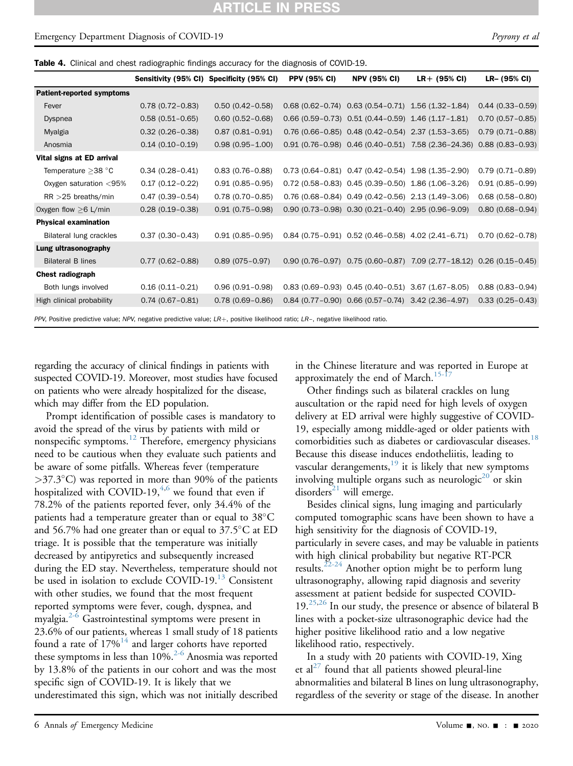# Emergency Department Diagnosis of COVID-19 Peyrony et al. Peyrony et al.

Table 4. Clinical and chest radiographic findings accuracy for the diagnosis of COVID-19.

|                                                                                                                                       |                     | Sensitivity (95% CI) Specificity (95% CI) | <b>PPV (95% CI)</b> | <b>NPV (95% CI)</b>                                      | $LR + (95\% \text{ Cl})$                                                             | LR- (95% CI)        |
|---------------------------------------------------------------------------------------------------------------------------------------|---------------------|-------------------------------------------|---------------------|----------------------------------------------------------|--------------------------------------------------------------------------------------|---------------------|
| <b>Patient-reported symptoms</b>                                                                                                      |                     |                                           |                     |                                                          |                                                                                      |                     |
| Fever                                                                                                                                 | $0.78(0.72 - 0.83)$ | $0.50(0.42 - 0.58)$                       |                     | $0.68$ (0.62-0.74) $0.63$ (0.54-0.71) 1.56 (1.32-1.84)   |                                                                                      | $0.44(0.33 - 0.59)$ |
| <b>Dyspnea</b>                                                                                                                        | $0.58(0.51 - 0.65)$ | $0.60(0.52 - 0.68)$                       |                     | $0.66$ (0.59-0.73) $0.51$ (0.44-0.59) $1.46$ (1.17-1.81) |                                                                                      | $0.70(0.57 - 0.85)$ |
| Myalgia                                                                                                                               | $0.32(0.26 - 0.38)$ | $0.87(0.81 - 0.91)$                       |                     | $0.76$ (0.66-0.85) $0.48$ (0.42-0.54) $2.37$ (1.53-3.65) |                                                                                      | $0.79(0.71 - 0.88)$ |
| Anosmia                                                                                                                               | $0.14(0.10 - 0.19)$ | $0.98(0.95 - 1.00)$                       |                     |                                                          | 0.91 (0.76-0.98) 0.46 (0.40-0.51) 7.58 (2.36-24.36)                                  | $0.88(0.83 - 0.93)$ |
| Vital signs at ED arrival                                                                                                             |                     |                                           |                     |                                                          |                                                                                      |                     |
| Temperature $>$ 38 °C                                                                                                                 | $0.34(0.28 - 0.41)$ | $0.83(0.76 - 0.88)$                       |                     | $0.73$ (0.64-0.81) $0.47$ (0.42-0.54) 1.98 (1.35-2.90)   |                                                                                      | $0.79(0.71 - 0.89)$ |
| Oxygen saturation <95%                                                                                                                | $0.17(0.12 - 0.22)$ | $0.91(0.85 - 0.95)$                       |                     | $0.72$ (0.58-0.83) $0.45$ (0.39-0.50) 1.86 (1.06-3.26)   |                                                                                      | $0.91(0.85 - 0.99)$ |
| $RR > 25$ breaths/min                                                                                                                 | $0.47(0.39 - 0.54)$ | $0.78(0.70-0.85)$                         |                     | 0.76 (0.68-0.84) 0.49 (0.42-0.56) 2.13 (1.49-3.06)       |                                                                                      | $0.68(0.58 - 0.80)$ |
| Oxygen flow $\geq 6$ L/min                                                                                                            | $0.28(0.19-0.38)$   | $0.91(0.75 - 0.98)$                       |                     | $0.90$ (0.73-0.98) $0.30$ (0.21-0.40) 2.95 (0.96-9.09)   |                                                                                      | $0.80(0.68 - 0.94)$ |
| <b>Physical examination</b>                                                                                                           |                     |                                           |                     |                                                          |                                                                                      |                     |
| Bilateral lung crackles                                                                                                               | $0.37(0.30 - 0.43)$ | $0.91(0.85 - 0.95)$                       |                     | $0.84$ (0.75-0.91) $0.52$ (0.46-0.58) 4.02 (2.41-6.71)   |                                                                                      | $0.70(0.62 - 0.78)$ |
| Lung ultrasonography                                                                                                                  |                     |                                           |                     |                                                          |                                                                                      |                     |
| <b>Bilateral B lines</b>                                                                                                              | $0.77(0.62 - 0.88)$ | $0.89(075 - 0.97)$                        |                     |                                                          | $0.90$ $(0.76-0.97)$ $0.75$ $(0.60-0.87)$ $7.09$ $(2.77-18.12)$ $0.26$ $(0.15-0.45)$ |                     |
| <b>Chest radiograph</b>                                                                                                               |                     |                                           |                     |                                                          |                                                                                      |                     |
| Both lungs involved                                                                                                                   | $0.16(0.11 - 0.21)$ | $0.96(0.91 - 0.98)$                       |                     | $0.83$ (0.69-0.93) $0.45$ (0.40-0.51) 3.67 (1.67-8.05)   |                                                                                      | $0.88(0.83 - 0.94)$ |
| High clinical probability                                                                                                             | $0.74(0.67 - 0.81)$ | $0.78(0.69 - 0.86)$                       |                     | $0.84$ (0.77-0.90) $0.66$ (0.57-0.74) 3.42 (2.36-4.97)   |                                                                                      | $0.33(0.25 - 0.43)$ |
| PPV, Positive predictive value; NPV, negative predictive value; $LR+$ , positive likelihood ratio; $LR-$ , negative likelihood ratio. |                     |                                           |                     |                                                          |                                                                                      |                     |

<span id="page-5-0"></span>regarding the accuracy of clinical findings in patients with suspected COVID-19. Moreover, most studies have focused on patients who were already hospitalized for the disease, which may differ from the ED population.

Prompt identification of possible cases is mandatory to avoid the spread of the virus by patients with mild or nonspecific symptoms.<sup>[12](#page-6-7)</sup> Therefore, emergency physicians need to be cautious when they evaluate such patients and be aware of some pitfalls. Whereas fever (temperature  $>37.3^{\circ}$ C) was reported in more than 90% of the patients hospitalized with COVID-19, $4,6$  $4,6$  we found that even if 78.2% of the patients reported fever, only 34.4% of the patients had a temperature greater than or equal to  $38^{\circ}$ C and 56.7% had one greater than or equal to  $37.5^{\circ}$ C at ED triage. It is possible that the temperature was initially decreased by antipyretics and subsequently increased during the ED stay. Nevertheless, temperature should not be used in isolation to exclude COVID-19.<sup>[13](#page-6-8)</sup> Consistent with other studies, we found that the most frequent reported symptoms were fever, cough, dyspnea, and myalgia.<sup>[2-6](#page-6-1)</sup> Gastrointestinal symptoms were present in 23.6% of our patients, whereas 1 small study of 18 patients found a rate of  $17\%$ <sup>[14](#page-6-9)</sup> and larger cohorts have reported these symptoms in less than  $10\%$ <sup>2-6</sup> Anosmia was reported by 13.8% of the patients in our cohort and was the most specific sign of COVID-19. It is likely that we underestimated this sign, which was not initially described

in the Chinese literature and was reported in Europe at approximately the end of March.<sup>15-1</sup>

Other findings such as bilateral crackles on lung auscultation or the rapid need for high levels of oxygen delivery at ED arrival were highly suggestive of COVID-19, especially among middle-aged or older patients with comorbidities such as diabetes or cardiovascular diseases.<sup>[18](#page-7-0)</sup> Because this disease induces endotheliitis, leading to vascular derangements, $19$  it is likely that new symptoms involving multiple organs such as neurologic $^{20}$  $^{20}$  $^{20}$  or skin disorders<sup>[21](#page-7-3)</sup> will emerge.

Besides clinical signs, lung imaging and particularly computed tomographic scans have been shown to have a high sensitivity for the diagnosis of COVID-19, particularly in severe cases, and may be valuable in patients with high clinical probability but negative RT-PCR results.<sup>[22-24](#page-7-4)</sup> Another option might be to perform lung ultrasonography, allowing rapid diagnosis and severity assessment at patient bedside for suspected COVID- $19.^{25,26}$  $19.^{25,26}$  $19.^{25,26}$  In our study, the presence or absence of bilateral B lines with a pocket-size ultrasonographic device had the higher positive likelihood ratio and a low negative likelihood ratio, respectively.

In a study with 20 patients with COVID-19, Xing et al<sup>[27](#page-7-7)</sup> found that all patients showed pleural-line abnormalities and bilateral B lines on lung ultrasonography, regardless of the severity or stage of the disease. In another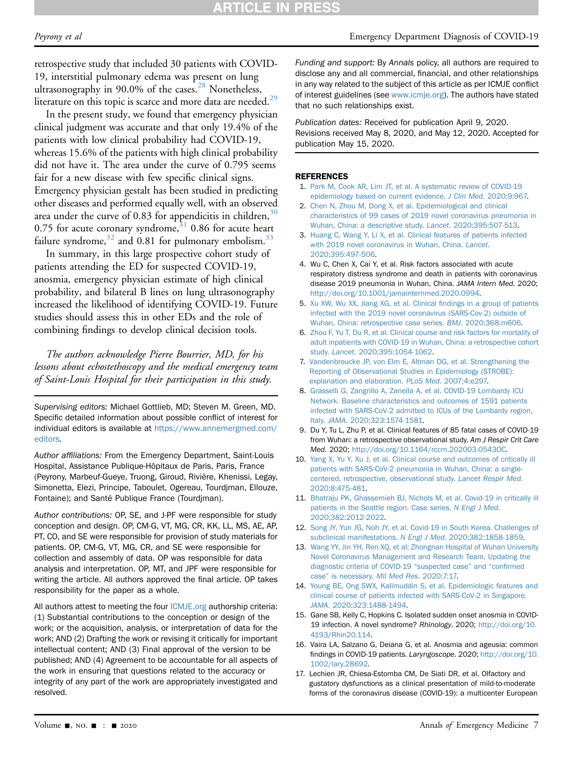retrospective study that included 30 patients with COVID-19, interstitial pulmonary edema was present on lung ultrasonography in  $90.0\%$  of the cases.<sup>[28](#page-7-8)</sup> Nonetheless, literature on this topic is scarce and more data are needed.<sup>29</sup>

In the present study, we found that emergency physician clinical judgment was accurate and that only 19.4% of the patients with low clinical probability had COVID-19, whereas 15.6% of the patients with high clinical probability did not have it. The area under the curve of 0.795 seems fair for a new disease with few specific clinical signs. Emergency physician gestalt has been studied in predicting other diseases and performed equally well, with an observed area under the curve of 0.83 for appendicitis in children,  $30$ 0.75 for acute coronary syndrome, $31$  0.86 for acute heart failure syndrome,  $32$  and 0.81 for pulmonary embolism.  $33$ 

In summary, in this large prospective cohort study of patients attending the ED for suspected COVID-19, anosmia, emergency physician estimate of high clinical probability, and bilateral B lines on lung ultrasonography increased the likelihood of identifying COVID-19. Future studies should assess this in other EDs and the role of combining findings to develop clinical decision tools.

The authors acknowledge Pierre Bourrier, MD, for his lessons about echostethoscopy and the medical emergency team of Saint-Louis Hospital for their participation in this study.

Supervising editors: Michael Gottlieb, MD; Steven M. Green, MD. Specific detailed information about possible conflict of interest for individual editors is available at [https://www.annemergmed.com/](https://www.annemergmed.com/editors) [editors.](https://www.annemergmed.com/editors)

Author affiliations: From the Emergency Department, Saint-Louis Hospital, Assistance Publique-Hôpitaux de Paris, Paris, France (Peyrony, Marbeuf-Gueye, Truong, Giroud, Rivière, Khenissi, Legay, Simonetta, Elezi, Principe, Taboulet, Ogereau, Tourdjman, Ellouze, Fontaine); and Santé Publique France (Tourdjman).

Author contributions: OP, SE, and J-PF were responsible for study conception and design. OP, CM-G, VT, MG, CR, KK, LL, MS, AE, AP, PT, CO, and SE were responsible for provision of study materials for patients. OP, CM-G, VT, MG, CR, and SE were responsible for collection and assembly of data. OP was responsible for data analysis and interpretation. OP, MT, and JPF were responsible for writing the article. All authors approved the final article. OP takes responsibility for the paper as a whole.

All authors attest to meeting the four [ICMJE.org](http://ICMJE.org) authorship criteria: (1) Substantial contributions to the conception or design of the work; or the acquisition, analysis, or interpretation of data for the work; AND (2) Drafting the work or revising it critically for important intellectual content; AND (3) Final approval of the version to be published; AND (4) Agreement to be accountable for all aspects of the work in ensuring that questions related to the accuracy or integrity of any part of the work are appropriately investigated and resolved.

Funding and support: By Annals policy, all authors are required to disclose any and all commercial, financial, and other relationships in any way related to the subject of this article as per ICMJE conflict of interest guidelines (see [www.icmje.org](http://www.icmje.org)). The authors have stated that no such relationships exist.

Publication dates: Received for publication April 9, 2020. Revisions received May 8, 2020, and May 12, 2020. Accepted for publication May 15, 2020.

#### <span id="page-6-0"></span>**REFERENCES**

- 1. [Park M, Cook AR, Lim JT, et al. A systematic review of COVID-19](http://refhub.elsevier.com/S0196-0644(20)30393-0/sref1) [epidemiology based on current evidence.](http://refhub.elsevier.com/S0196-0644(20)30393-0/sref1) J Clin Med. 2020;9:967.
- <span id="page-6-1"></span>2. [Chen N, Zhou M, Dong X, et al. Epidemiological and clinical](http://refhub.elsevier.com/S0196-0644(20)30393-0/sref2) [characteristics of 99 cases of 2019 novel coronavirus pneumonia in](http://refhub.elsevier.com/S0196-0644(20)30393-0/sref2) [Wuhan, China: a descriptive study.](http://refhub.elsevier.com/S0196-0644(20)30393-0/sref2) Lancet. 2020;395:507-513.
- <span id="page-6-2"></span>3. [Huang C, Wang Y, Li X, et al. Clinical features of patients infected](http://refhub.elsevier.com/S0196-0644(20)30393-0/sref3) [with 2019 novel coronavirus in Wuhan, China.](http://refhub.elsevier.com/S0196-0644(20)30393-0/sref3) Lancet. [2020;395:497-506.](http://refhub.elsevier.com/S0196-0644(20)30393-0/sref3)
- <span id="page-6-5"></span>4. Wu C, Chen X, Cai Y, et al. Risk factors associated with acute respiratory distress syndrome and death in patients with coronavirus disease 2019 pneumonia in Wuhan, China. JAMA Intern Med. 2020; <http://doi.org/10.1001/jamainternmed.2020.0994>.
- 5. [Xu XW, Wu XX, Jiang XG, et al. Clinical](http://refhub.elsevier.com/S0196-0644(20)30393-0/sref5) findings in a group of patients [infected with the 2019 novel coronavirus \(SARS-Cov-2\) outside of](http://refhub.elsevier.com/S0196-0644(20)30393-0/sref5) [Wuhan, China: retrospective case series.](http://refhub.elsevier.com/S0196-0644(20)30393-0/sref5) BMJ. 2020;368:m606.
- <span id="page-6-3"></span>6. [Zhou F, Yu T, Du R, et al. Clinical course and risk factors for mortality of](http://refhub.elsevier.com/S0196-0644(20)30393-0/sref6) [adult inpatients with COVID-19 in Wuhan, China: a retrospective cohort](http://refhub.elsevier.com/S0196-0644(20)30393-0/sref6) study. Lancet[. 2020;395:1054-1062](http://refhub.elsevier.com/S0196-0644(20)30393-0/sref6).
- <span id="page-6-4"></span>7. [Vandenbroucke JP, von Elm E, Altman DG, et al. Strengthening the](http://refhub.elsevier.com/S0196-0644(20)30393-0/sref7) [Reporting of Observational Studies in Epidemiology \(STROBE\):](http://refhub.elsevier.com/S0196-0644(20)30393-0/sref7) [explanation and elaboration.](http://refhub.elsevier.com/S0196-0644(20)30393-0/sref7) PLoS Med. 2007;4:e297.
- <span id="page-6-6"></span>8. [Grasselli G, Zangrillo A, Zanella A, et al. COVID-19 Lombardy ICU](http://refhub.elsevier.com/S0196-0644(20)30393-0/sref8) [Network. Baseline characteristics and outcomes of 1591 patients](http://refhub.elsevier.com/S0196-0644(20)30393-0/sref8) [infected with SARS-CoV-2 admitted to ICUs of the Lombardy region,](http://refhub.elsevier.com/S0196-0644(20)30393-0/sref8) Italy. JAMA[. 2020;323:1574-1581.](http://refhub.elsevier.com/S0196-0644(20)30393-0/sref8)
- 9. Du Y, Tu L, Zhu P, et al. Clinical features of 85 fatal cases of COVID-19 from Wuhan: a retrospective observational study. Am J Respir Crit Care Med. 2020; [http://doi.org/10.1164/rccm.202003-0543OC.](http://doi.org/10.1164/rccm.202003-0543OC)
- 10. [Yang X, Yu Y, Xu J, et al. Clinical course and outcomes of critically ill](http://refhub.elsevier.com/S0196-0644(20)30393-0/sref10) [patients with SARS-CoV-2 pneumonia in Wuhan, China: a single](http://refhub.elsevier.com/S0196-0644(20)30393-0/sref10)[centered, retrospective, observational study.](http://refhub.elsevier.com/S0196-0644(20)30393-0/sref10) Lancet Respir Med. [2020;8:475-481](http://refhub.elsevier.com/S0196-0644(20)30393-0/sref10).
- 11. [Bhatraju PK, Ghassemieh BJ, Nichols M, et al. Covid-19 in critically ill](http://refhub.elsevier.com/S0196-0644(20)30393-0/sref11) [patients in the Seattle region. Case series.](http://refhub.elsevier.com/S0196-0644(20)30393-0/sref11) N Engl J Med. [2020;382:2012-2022](http://refhub.elsevier.com/S0196-0644(20)30393-0/sref11).
- <span id="page-6-7"></span>12. [Song JY, Yun JG, Noh JY, et al. Covid-19 in South Korea. Challenges of](http://refhub.elsevier.com/S0196-0644(20)30393-0/sref12) [subclinical manifestations.](http://refhub.elsevier.com/S0196-0644(20)30393-0/sref12) N Engl J Med. 2020;382:1858-1859.
- <span id="page-6-8"></span>13. [Wang YY, Jin YH, Ren XQ, et al; Zhongnan Hospital of Wuhan University](http://refhub.elsevier.com/S0196-0644(20)30393-0/sref13) [Novel Coronavirus Management and Research Team. Updating the](http://refhub.elsevier.com/S0196-0644(20)30393-0/sref13) [diagnostic criteria of COVID-19](http://refhub.elsevier.com/S0196-0644(20)30393-0/sref13) "suspected case" and "confirmed case" [is necessary.](http://refhub.elsevier.com/S0196-0644(20)30393-0/sref13) Mil Med Res. 2020;7:17.
- <span id="page-6-9"></span>14. [Young BE, Ong SWX, Kalimuddin S, et al. Epidemiologic features and](http://refhub.elsevier.com/S0196-0644(20)30393-0/sref14) [clinical course of patients infected with SARS-CoV-2 in Singapore.](http://refhub.elsevier.com/S0196-0644(20)30393-0/sref14) JAMA[. 2020;323:1488-1494.](http://refhub.elsevier.com/S0196-0644(20)30393-0/sref14)
- <span id="page-6-10"></span>15. Gane SB, Kelly C, Hopkins C. Isolated sudden onset anosmia in COVID-19 infection. A novel syndrome? Rhinology. 2020; [http://doi.org/10.](http://doi.org/10.4193/Rhin20.114) [4193/Rhin20.114](http://doi.org/10.4193/Rhin20.114).
- 16. Vaira LA, Salzano G, Deiana G, et al. Anosmia and ageusia: common findings in COVID-19 patients. Laryngoscope. 2020; [http://doi.org/10.](http://doi.org/10.1002/lary.28692) [1002/lary.28692.](http://doi.org/10.1002/lary.28692)
- 17. Lechien JR, Chiesa-Estomba CM, De Siati DR, et al. Olfactory and gustatory dysfunctions as a clinical presentation of mild-to-moderate forms of the coronavirus disease (COVID-19): a multicenter European